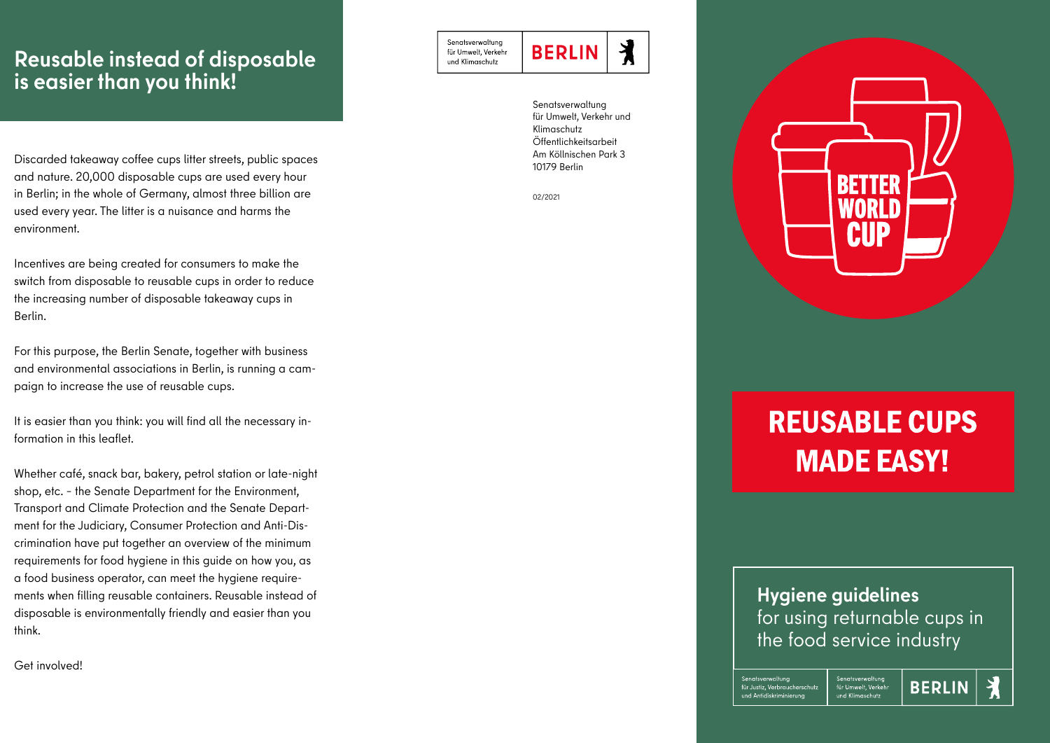## **Reusable instead of disposable is easier than you think!**

Discarded takeaway coffee cups litter streets, public spaces and nature. 20,000 disposable cups are used every hour in Berlin; in the whole of Germany, almost three billion are used every year. The litter is a nuisance and harms the environment.

Incentives are being created for consumers to make the switch from disposable to reusable cups in order to reduce the increasing number of disposable takeaway cups in Berlin.

For this purpose, the Berlin Senate, together with business and environmental associations in Berlin, is running a campaign to increase the use of reusable cups.

It is easier than you think: you will find all the necessary information in this leaflet.

Whether café, snack bar, bakery, petrol station or late-night shop, etc. – the Senate Department for the Environment, Transport and Climate Protection and the Senate Department for the Judiciary, Consumer Protection and Anti-Discrimination have put together an overview of the minimum requirements for food hygiene in this guide on how you, as a food business operator, can meet the hygiene requirements when filling reusable containers. Reusable instead of disposable is environmentally friendly and easier than you think.

Get involved!

Senatsverwaltuna für Umwelt, Verkehr und Klimaschutz

丬 **BERLIN** 

Senatsverwaltung für Umwelt, Verkehr und Klimaschutz Öffentlichkeitsarbeit Am Köllnischen Park 3 10179 Berlin

02/2021



## **REUSABLE CUPS MADE EASY!**

## **Hygiene guidelines** for using returnable cups in the food service industry

Senatsverwaltung

für Umwelt. Verkehr

und Klimaschutz

Senatsverwaltung für Justiz. Verbraucherschutz und Antidiskriminierung